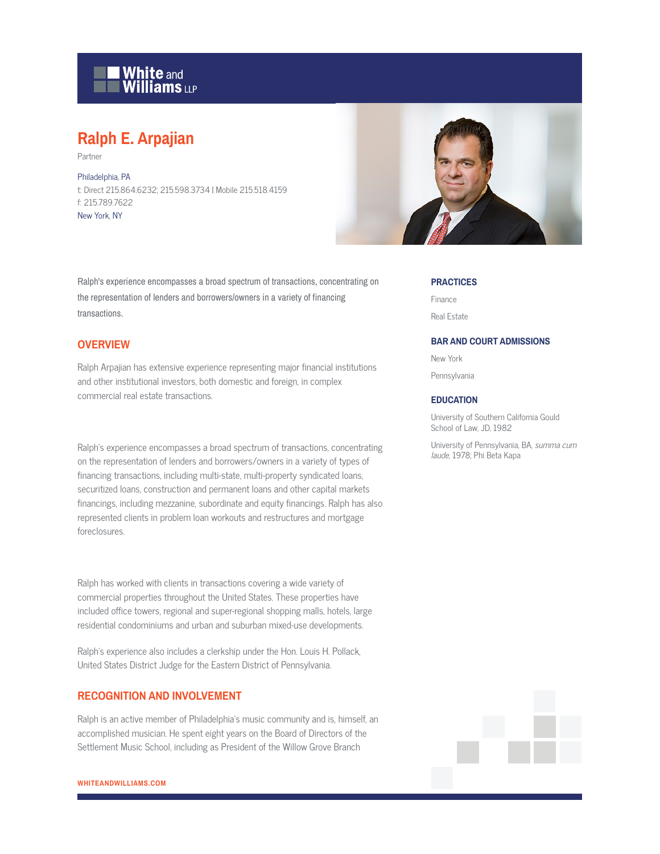

# **Ralph E. Arpajian**

Partner

Philadelphia, PA t: Direct 215.864.6232; 215.598.3734 | Mobile 215.518.4159 f: 215.789.7622 New York, NY



Ralph's experience encompasses a broad spectrum of transactions, concentrating on the representation of lenders and borrowers/owners in a variety of financing transactions.

## **OVERVIEW**

Ralph Arpajian has extensive experience representing major financial institutions and other institutional investors, both domestic and foreign, in complex commercial real estate transactions.

Ralph's experience encompasses a broad spectrum of transactions, concentrating on the representation of lenders and borrowers/owners in a variety of types of financing transactions, including multi-state, multi-property syndicated loans, securitized loans, construction and permanent loans and other capital markets financings, including mezzanine, subordinate and equity financings. Ralph has also represented clients in problem loan workouts and restructures and mortgage foreclosures.

Ralph has worked with clients in transactions covering a wide variety of commercial properties throughout the United States. These properties have included office towers, regional and super-regional shopping malls, hotels, large residential condominiums and urban and suburban mixed-use developments.

Ralph's experience also includes a clerkship under the Hon. Louis H. Pollack, United States District Judge for the Eastern District of Pennsylvania.

## **RECOGNITION AND INVOLVEMENT**

Ralph is an active member of Philadelphia's music community and is, himself, an accomplished musician. He spent eight years on the Board of Directors of the Settlement Music School, including as President of the Willow Grove Branch

#### **PRACTICES**

Finance Real Estate

#### **BAR AND COURT ADMISSIONS**

New York

Pennsylvania

### **EDUCATION**

University of Southern California Gould School of Law, JD, 1982

University of Pennsylvania, BA, summa cum laude, 1978; Phi Beta Kapa